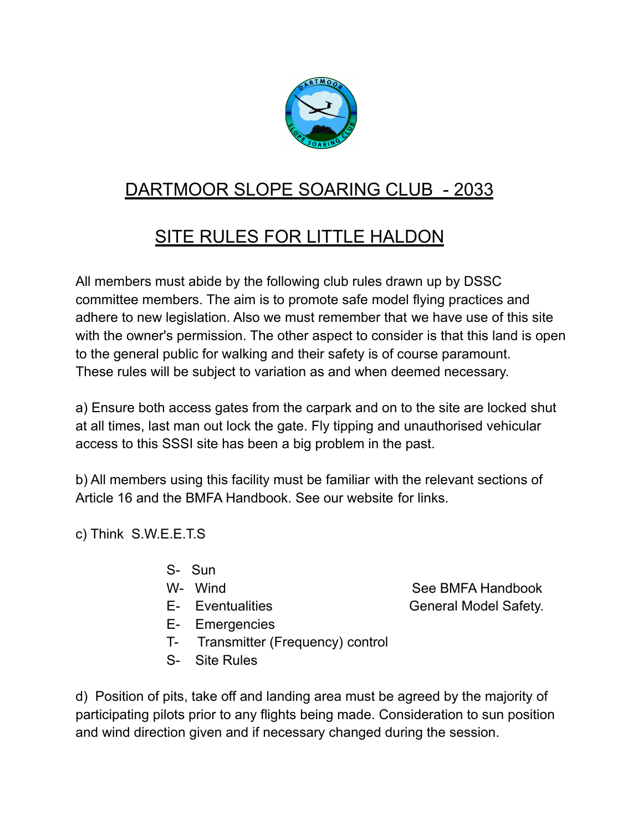

## DARTMOOR SLOPE SOARING CLUB - 2033

## SITE RULES FOR LITTLE HALDON

All members must abide by the following club rules drawn up by DSSC committee members. The aim is to promote safe model flying practices and adhere to new legislation. Also we must remember that we have use of this site with the owner's permission. The other aspect to consider is that this land is open to the general public for walking and their safety is of course paramount. These rules will be subject to variation as and when deemed necessary.

a) Ensure both access gates from the carpark and on to the site are locked shut at all times, last man out lock the gate. Fly tipping and unauthorised vehicular access to this SSSI site has been a big problem in the past.

b) All members using this facility must be familiar with the relevant sections of Article 16 and the BMFA Handbook. See our website for links.

c) Think S.W.E.E.T.S

- S- Sun
- 
- 
- E- Emergencies
- T- Transmitter (Frequency) control
- S- Site Rules

d) Position of pits, take off and landing area must be agreed by the majority of participating pilots prior to any flights being made. Consideration to sun position and wind direction given and if necessary changed during the session.

W- Wind See BMFA Handbook E- Eventualities General Model Safety.